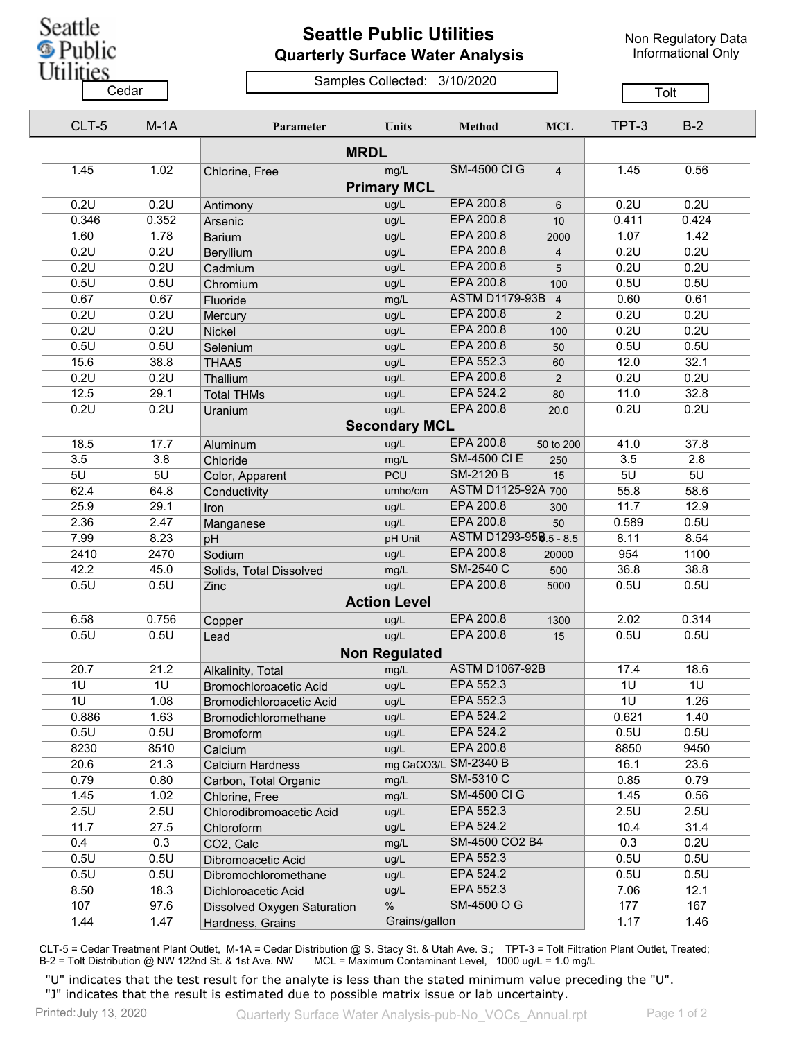

## **Seattle Public Utilities Quarterly Surface Water Analysis**

Non Regulatory Data Informational Only

## Samples Collected: 3/10/2020 Cedar **Cedar** Cedar Changes Compression of Changes Contract Changes Contract Changes Contract Changes Contract Changes Contract Changes Contract Changes Contract Changes Contract Changes Contract Changes Contract Changes C

| CLT-5 | $M-1A$ | Parameter                   | <b>Units</b>         | <b>Method</b>          | <b>MCL</b>     | TPT-3          | $B-2$ |
|-------|--------|-----------------------------|----------------------|------------------------|----------------|----------------|-------|
|       |        |                             |                      |                        |                |                |       |
| 1.45  | 1.02   | Chlorine, Free              | mg/L                 | <b>SM-4500 CI G</b>    | $\overline{4}$ | 1.45           | 0.56  |
|       |        |                             | <b>Primary MCL</b>   |                        |                |                |       |
| 0.2U  | 0.2U   | Antimony                    | ug/L                 | EPA 200.8              | 6              | 0.2U           | 0.2U  |
| 0.346 | 0.352  | Arsenic                     | ug/L                 | EPA 200.8              | 10             | 0.411          | 0.424 |
| 1.60  | 1.78   | <b>Barium</b>               | ug/L                 | EPA 200.8              | 2000           | 1.07           | 1.42  |
| 0.2U  | 0.2U   | Beryllium                   | ug/L                 | EPA 200.8              | $\overline{4}$ | 0.2U           | 0.2U  |
| 0.2U  | 0.2U   | Cadmium                     | ug/L                 | EPA 200.8              | 5              | 0.2U           | 0.2U  |
| 0.5U  | 0.5U   | Chromium                    | ug/L                 | EPA 200.8              | 100            | 0.5U           | 0.5U  |
| 0.67  | 0.67   | Fluoride                    | mg/L                 | <b>ASTM D1179-93B</b>  | $\overline{4}$ | 0.60           | 0.61  |
| 0.2U  | 0.2U   | Mercury                     | ug/L                 | EPA 200.8              | 2              | 0.2U           | 0.2U  |
| 0.2U  | 0.2U   | Nickel                      | ug/L                 | EPA 200.8              | 100            | 0.2U           | 0.2U  |
| 0.5U  | 0.5U   | Selenium                    | ug/L                 | EPA 200.8              | 50             | 0.5U           | 0.5U  |
| 15.6  | 38.8   | THAA5                       | ug/L                 | EPA 552.3              | 60             | 12.0           | 32.1  |
| 0.2U  | 0.2U   | Thallium                    | ug/L                 | EPA 200.8              | 2              | 0.2U           | 0.2U  |
| 12.5  | 29.1   | <b>Total THMs</b>           | ug/L                 | EPA 524.2              | 80             | 11.0           | 32.8  |
| 0.2U  | 0.2U   | Uranium                     | ug/L                 | EPA 200.8              | 20.0           | 0.2U           | 0.2U  |
|       |        |                             | <b>Secondary MCL</b> |                        |                |                |       |
| 18.5  | 17.7   | Aluminum                    | ug/L                 | <b>EPA 200.8</b>       | 50 to 200      | 41.0           | 37.8  |
| 3.5   | 3.8    | Chloride                    | mg/L                 | <b>SM-4500 CI E</b>    | 250            | 3.5            | 2.8   |
| 5U    | 5U     |                             | PCU                  | <b>SM-2120 B</b>       | 15             | 5U             | 5U    |
| 62.4  | 64.8   | Color, Apparent             | umho/cm              | ASTM D1125-92A 700     |                | 55.8           | 58.6  |
| 25.9  | 29.1   | Conductivity                | ug/L                 | <b>EPA 200.8</b>       |                | 11.7           | 12.9  |
|       | 2.47   | Iron                        |                      | EPA 200.8              | 300            |                |       |
| 2.36  |        | Manganese                   | ug/L                 | ASTM D1293-958.5 - 8.5 | 50             | 0.589          | 0.5U  |
| 7.99  | 8.23   | pH                          | pH Unit              | <b>EPA 200.8</b>       |                | 8.11<br>954    | 8.54  |
| 2410  | 2470   | Sodium                      | ug/L                 | <b>SM-2540 C</b>       | 20000          |                | 1100  |
| 42.2  | 45.0   | Solids, Total Dissolved     | mg/L                 | EPA 200.8              | 500            | 36.8           | 38.8  |
| 0.5U  | 0.5U   | Zinc                        | ug/L                 |                        | 5000           | 0.5U           | 0.5U  |
|       |        |                             | <b>Action Level</b>  |                        |                |                |       |
| 6.58  | 0.756  | Copper                      | ug/L                 | <b>EPA 200.8</b>       | 1300           | 2.02           | 0.314 |
| 0.5U  | 0.5U   | Lead                        | ug/L                 | EPA 200.8              | 15             | 0.5U           | 0.5U  |
|       |        |                             | <b>Non Regulated</b> |                        |                |                |       |
| 20.7  | 21.2   | Alkalinity, Total           | mg/L                 | <b>ASTM D1067-92B</b>  |                | 17.4           | 18.6  |
| 1U    | 1U     | Bromochloroacetic Acid      | ug/L                 | EPA 552.3              |                | 1 <sub>U</sub> | 1U    |
| 1U    | 1.08   | Bromodichloroacetic Acid    | ug/L                 | EPA 552.3              |                | 1U             | 1.26  |
| 0.886 | 1.63   | Bromodichloromethane        | ug/L                 | EPA 524.2              |                | 0.621          | 1.40  |
| 0.5U  | 0.5U   | <b>Bromoform</b>            | ug/L                 | EPA 524.2              |                | 0.5U           | 0.5U  |
| 8230  | 8510   | Calcium                     | ug/L                 | EPA 200.8              |                | 8850           | 9450  |
| 20.6  | 21.3   | <b>Calcium Hardness</b>     |                      | mg CaCO3/L SM-2340 B   |                | 16.1           | 23.6  |
| 0.79  | 0.80   | Carbon, Total Organic       | mg/L                 | SM-5310 C              |                | 0.85           | 0.79  |
| 1.45  | 1.02   | Chlorine, Free              | mg/L                 | <b>SM-4500 CI G</b>    |                | 1.45           | 0.56  |
| 2.5U  | 2.5U   | Chlorodibromoacetic Acid    | ug/L                 | EPA 552.3              |                | 2.5U           | 2.5U  |
| 11.7  | 27.5   | Chloroform                  | ug/L                 | EPA 524.2              |                | 10.4           | 31.4  |
| 0.4   | 0.3    | CO2, Calc                   | mg/L                 | SM-4500 CO2 B4         |                | 0.3            | 0.2U  |
| 0.5U  | 0.5U   | Dibromoacetic Acid          | ug/L                 | EPA 552.3              |                | 0.5U           | 0.5U  |
| 0.5U  | 0.5U   | Dibromochloromethane        | ug/L                 | EPA 524.2              |                | 0.5U           | 0.5U  |
| 8.50  | 18.3   | Dichloroacetic Acid         | ug/L                 | EPA 552.3              |                | 7.06           | 12.1  |
| 107   | 97.6   | Dissolved Oxygen Saturation | $\%$                 | SM-4500 O G            |                | 177            | 167   |
| 1.44  | 1.47   | Hardness, Grains            | Grains/gallon        |                        |                | 1.17           | 1.46  |

CLT-5 = Cedar Treatment Plant Outlet, M-1A = Cedar Distribution @ S. Stacy St. & Utah Ave. S.; TPT-3 = Tolt Filtration Plant Outlet, Treated; B-2 = Tolt Distribution @ NW 122nd St. & 1st Ave. NW MCL = Maximum Contaminant Level, 1000 ug/L = 1.0 mg/L

"U" indicates that the test result for the analyte is less than the stated minimum value preceding the "U". "J" indicates that the result is estimated due to possible matrix issue or lab uncertainty.